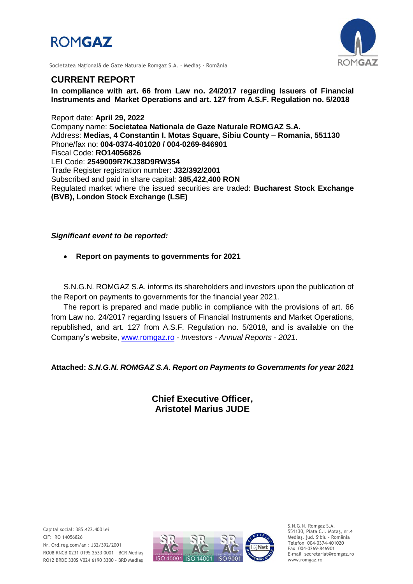# **ROMGAZ**



Societatea Naţională de Gaze Naturale Romgaz S.A. – Mediaş - România

## **CURRENT REPORT**

**In compliance with art. 66 from Law no. 24/2017 regarding Issuers of Financial Instruments and Market Operations and art. 127 from A.S.F. Regulation no. 5/2018**

Report date: **April 29, 2022** Company name: **Societatea Nationala de Gaze Naturale ROMGAZ S.A.** Address: **Medias, 4 Constantin I. Motas Square, Sibiu County – Romania, 551130** Phone/fax no: **004-0374-401020 / 004-0269-846901** Fiscal Code: **RO14056826** LEI Code: **2549009R7KJ38D9RW354** Trade Register registration number: **J32/392/2001** Subscribed and paid in share capital: **385,422,400 RON** Regulated market where the issued securities are traded: **Bucharest Stock Exchange (BVB), London Stock Exchange (LSE)**

*Significant event to be reported:*

**Report on payments to governments for 2021**

S.N.G.N. ROMGAZ S.A. informs its shareholders and investors upon the publication of the Report on payments to governments for the financial year 2021.

The report is prepared and made public in compliance with the provisions of art. 66 from Law no. 24/2017 regarding Issuers of Financial Instruments and Market Operations, republished, and art. 127 from A.S.F. Regulation no. 5/2018, and is available on the Company's website, [www.romgaz.ro](http://www.romgaz.ro/) - *Investors - Annual Reports* - *2021*.

**Attached:** *S.N.G.N. ROMGAZ S.A. Report on Payments to Governments for year 2021*

## **Chief Executive Officer, Aristotel Marius JUDE**



S.N.G.N. Romgaz S.A. 551130, Piața C.I. Motaş, nr.4 Mediaş, jud. Sibiu - România Telefon 004-0374-401020 Fax 004-0269-846901 E-mail secretariat@romgaz.ro www.romgaz.ro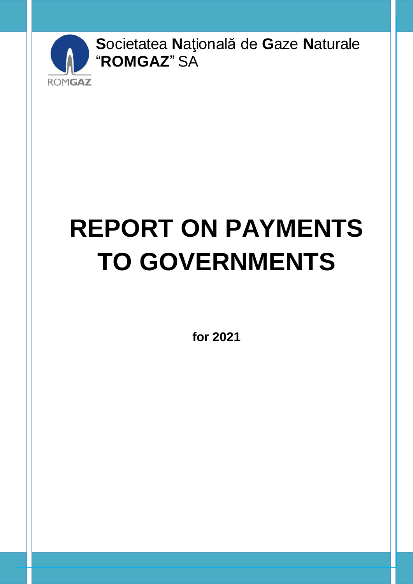

# **REPORT ON PAYMENTS TO GOVERNMENTS**

for 2021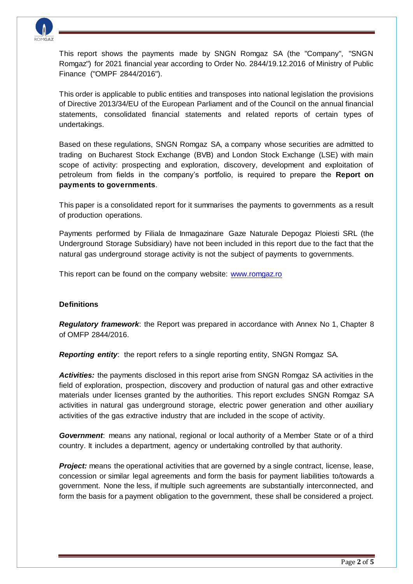

This report shows the payments made by SNGN Romgaz SA (the "Company", "SNGN Romgaz") for 2021 financial year according to Order No. 2844/19.12.2016 of Ministry of Public Finance ("OMPF 2844/2016").

This order is applicable to public entities and transposes into national legislation the provisions of Directive 2013/34/EU of the European Parliament and of the Council on the annual financial statements, consolidated financial statements and related reports of certain types of undertakings.

Based on these regulations, SNGN Romgaz SA, a company whose securities are admitted to trading on Bucharest Stock Exchange (BVB) and London Stock Exchange (LSE) with main scope of activity: prospecting and exploration, discovery, development and exploitation of petroleum from fields in the company's portfolio, is required to prepare the **Report on payments to governments**.

This paper is a consolidated report for it summarises the payments to governments as a result of production operations.

Payments performed by Filiala de Inmagazinare Gaze Naturale Depogaz Ploiesti SRL (the Underground Storage Subsidiary) have not been included in this report due to the fact that the natural gas underground storage activity is not the subject of payments to governments.

This report can be found on the company website: [www.romgaz.ro](http://www.romgaz.ro/)

#### **Definitions**

*Regulatory framework*: the Report was prepared in accordance with Annex No 1, Chapter 8 of OMFP 2844/2016.

*Reporting entity*: the report refers to a single reporting entity, SNGN Romgaz SA.

*Activities:* the payments disclosed in this report arise from SNGN Romgaz SA activities in the field of exploration, prospection, discovery and production of natural gas and other extractive materials under licenses granted by the authorities. This report excludes SNGN Romgaz SA activities in natural gas underground storage, electric power generation and other auxiliary activities of the gas extractive industry that are included in the scope of activity.

*Government*: means any national, regional or local authority of a Member State or of a third country. It includes a department, agency or undertaking controlled by that authority.

**Project:** means the operational activities that are governed by a single contract, license, lease, concession or similar legal agreements and form the basis for payment liabilities to/towards a government. None the less, if multiple such agreements are substantially interconnected, and form the basis for a payment obligation to the government, these shall be considered a project.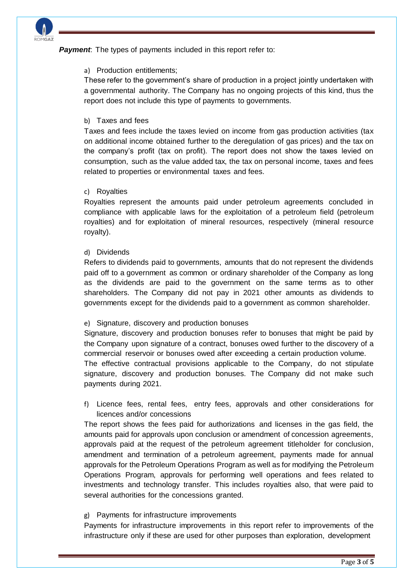

**Payment**: The types of payments included in this report refer to:

#### a) Production entitlements;

These refer to the government's share of production in a project jointly undertaken with a governmental authority. The Company has no ongoing projects of this kind, thus the report does not include this type of payments to governments.

#### b) Taxes and fees

Taxes and fees include the taxes levied on income from gas production activities (tax on additional income obtained further to the deregulation of gas prices) and the tax on the company's profit (tax on profit). The report does not show the taxes levied on consumption, such as the value added tax, the tax on personal income, taxes and fees related to properties or environmental taxes and fees.

#### c) Royalties

Royalties represent the amounts paid under petroleum agreements concluded in compliance with applicable laws for the exploitation of a petroleum field (petroleum royalties) and for exploitation of mineral resources, respectively (mineral resource royalty).

#### d) Dividends

Refers to dividends paid to governments, amounts that do not represent the dividends paid off to a government as common or ordinary shareholder of the Company as long as the dividends are paid to the government on the same terms as to other shareholders. The Company did not pay in 2021 other amounts as dividends to governments except for the dividends paid to a government as common shareholder.

#### e) Signature, discovery and production bonuses

Signature, discovery and production bonuses refer to bonuses that might be paid by the Company upon signature of a contract, bonuses owed further to the discovery of a commercial reservoir or bonuses owed after exceeding a certain production volume.

The effective contractual provisions applicable to the Company, do not stipulate signature, discovery and production bonuses. The Company did not make such payments during 2021.

f) Licence fees, rental fees, entry fees, approvals and other considerations for licences and/or concessions

The report shows the fees paid for authorizations and licenses in the gas field, the amounts paid for approvals upon conclusion or amendment of concession agreements, approvals paid at the request of the petroleum agreement titleholder for conclusion, amendment and termination of a petroleum agreement, payments made for annual approvals for the Petroleum Operations Program as well as for modifying the Petroleum Operations Program, approvals for performing well operations and fees related to investments and technology transfer. This includes royalties also, that were paid to several authorities for the concessions granted.

#### g) Payments for infrastructure improvements

Payments for infrastructure improvements in this report refer to improvements of the infrastructure only if these are used for other purposes than exploration, development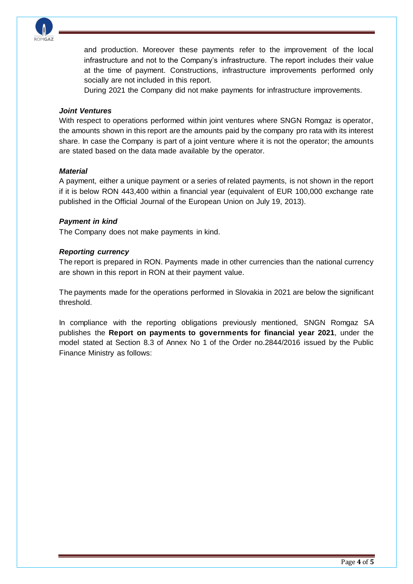

and production. Moreover these payments refer to the improvement of the local infrastructure and not to the Company's infrastructure. The report includes their value at the time of payment. Constructions, infrastructure improvements performed only socially are not included in this report.

During 2021 the Company did not make payments for infrastructure improvements.

#### *Joint Ventures*

With respect to operations performed within joint ventures where SNGN Romgaz is operator, the amounts shown in this report are the amounts paid by the company pro rata with its interest share. In case the Company is part of a joint venture where it is not the operator; the amounts are stated based on the data made available by the operator.

#### *Material*

A payment, either a unique payment or a series of related payments, is not shown in the report if it is below RON 443,400 within a financial year (equivalent of EUR 100,000 exchange rate published in the Official Journal of the European Union on July 19, 2013).

#### *Payment in kind*

The Company does not make payments in kind.

#### *Reporting currency*

The report is prepared in RON. Payments made in other currencies than the national currency are shown in this report in RON at their payment value.

The payments made for the operations performed in Slovakia in 2021 are below the significant threshold.

In compliance with the reporting obligations previously mentioned, SNGN Romgaz SA publishes the **Report on payments to governments for financial year 2021**, under the model stated at Section 8.3 of Annex No 1 of the Order no.2844/2016 issued by the Public Finance Ministry as follows: